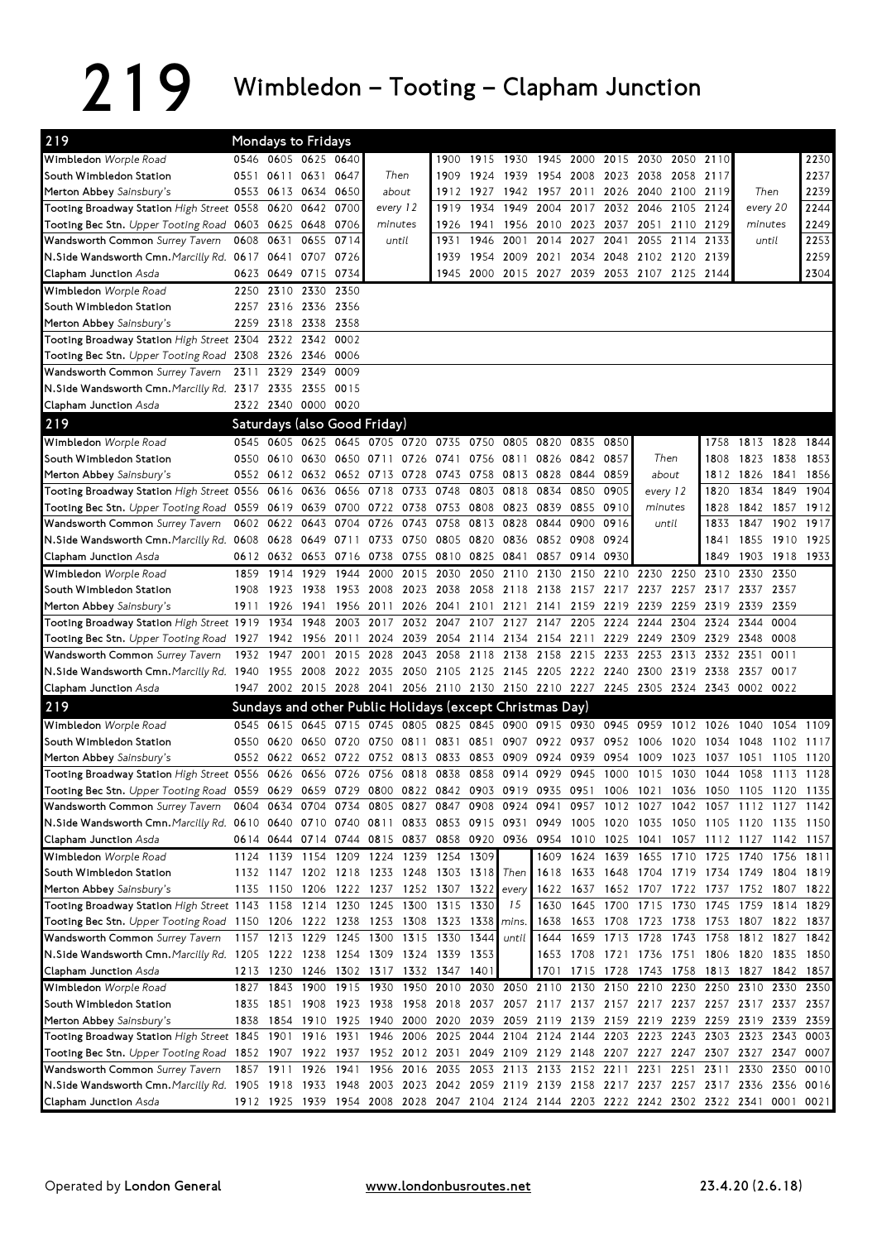## 219 Wimbledon – Tooting – Clapham Junction

| 219                                                                                                                           |      | <b>Mondays to Fridays</b> |           |                               |          |           |                                                                            |           |                               |                     |                |      |                          |                                              |           |                                                                                                                                 |           |           |
|-------------------------------------------------------------------------------------------------------------------------------|------|---------------------------|-----------|-------------------------------|----------|-----------|----------------------------------------------------------------------------|-----------|-------------------------------|---------------------|----------------|------|--------------------------|----------------------------------------------|-----------|---------------------------------------------------------------------------------------------------------------------------------|-----------|-----------|
| Wimbledon Worple Road                                                                                                         |      | 0546 0605 0625 0640       |           |                               |          |           |                                                                            |           |                               |                     |                |      |                          | 1900 1915 1930 1945 2000 2015 2030 2050 2110 |           |                                                                                                                                 |           | 2230      |
| South Wimbledon Station                                                                                                       |      | 0551 0611 0631 0647       |           |                               | Then     |           | 1909                                                                       |           | 1924 1939 1954 2008 2023 2038 |                     |                |      |                          | 2058 2117                                    |           |                                                                                                                                 |           | 2237      |
| Merton Abbey Sainsbury's                                                                                                      |      | 0553 0613 0634 0650       |           |                               | about    |           | 1912                                                                       | 1927 1942 |                               |                     |                |      |                          | 1957 2011 2026 2040 2100 2119                |           | Then                                                                                                                            |           | 2239      |
| Tooting Broadway Station High Street 0558 0620 0642 0700                                                                      |      |                           |           |                               | every 12 |           | 1919                                                                       |           | 1934 1949                     |                     |                |      |                          | 2004 2017 2032 2046 2105 2124                |           |                                                                                                                                 | every 20  | 2244      |
| Tooting Bec Stn. Upper Tooting Road 0603 0625 0648                                                                            |      |                           |           | 0706                          | minutes  |           | 1926                                                                       | 1941      | 1956                          | 2010 2023 2037 2051 |                |      |                          | 2110 2129                                    |           | minutes                                                                                                                         |           | 2249      |
| Wandsworth Common Surrey Tavern                                                                                               |      | 0608 0631                 |           | 0655 0714                     | until    |           | 1931                                                                       | 1946      | 2001                          |                     | 2014 2027 2041 |      | 2055                     | 2114 2133                                    |           | until                                                                                                                           |           | 2253      |
| N.Side Wandsworth Cmn. Marcilly Rd. 0617 0641 0707 0726                                                                       |      |                           |           |                               |          |           | 1939                                                                       |           |                               |                     |                |      |                          | 1954 2009 2021 2034 2048 2102 2120 2139      |           |                                                                                                                                 |           | 2259      |
| Clapham Junction Asda                                                                                                         |      | 0623 0649 0715 0734       |           |                               |          |           |                                                                            |           |                               |                     |                |      |                          | 1945 2000 2015 2027 2039 2053 2107 2125 2144 |           |                                                                                                                                 |           | 2304      |
| Wimbledon Worple Road                                                                                                         | 2250 |                           | 2310 2330 | 2350                          |          |           |                                                                            |           |                               |                     |                |      |                          |                                              |           |                                                                                                                                 |           |           |
| South Wimbledon Station                                                                                                       |      | 2257 2316 2336 2356       |           |                               |          |           |                                                                            |           |                               |                     |                |      |                          |                                              |           |                                                                                                                                 |           |           |
| Merton Abbey Sainsbury's                                                                                                      |      | 2259 2318 2338            |           | 2358                          |          |           |                                                                            |           |                               |                     |                |      |                          |                                              |           |                                                                                                                                 |           |           |
| Tooting Broadway Station High Street 2304 2322 2342                                                                           |      |                           |           | 0002                          |          |           |                                                                            |           |                               |                     |                |      |                          |                                              |           |                                                                                                                                 |           |           |
| Tooting Bec Stn. Upper Tooting Road 2308 2326 2346                                                                            |      |                           |           | 0006                          |          |           |                                                                            |           |                               |                     |                |      |                          |                                              |           |                                                                                                                                 |           |           |
| Wandsworth Common Surrey Tavern                                                                                               |      | 2311 2329 2349            |           | 0009                          |          |           |                                                                            |           |                               |                     |                |      |                          |                                              |           |                                                                                                                                 |           |           |
| N.Side Wandsworth Cmn. Marcilly Rd. 2317 2335 2355 0015                                                                       |      |                           |           |                               |          |           |                                                                            |           |                               |                     |                |      |                          |                                              |           |                                                                                                                                 |           |           |
| Clapham Junction Asda                                                                                                         |      | 2322 2340 0000 0020       |           |                               |          |           |                                                                            |           |                               |                     |                |      |                          |                                              |           |                                                                                                                                 |           |           |
| 219                                                                                                                           |      |                           |           | Saturdays (also Good Friday)  |          |           |                                                                            |           |                               |                     |                |      |                          |                                              |           |                                                                                                                                 |           |           |
| Wimbledon Worple Road                                                                                                         |      |                           |           |                               |          |           | 0545 0605 0625 0645 0705 0720 0735 0750 0805 0820 0835 0850                |           |                               |                     |                |      |                          |                                              | 1758      | 1813 1828 1844                                                                                                                  |           |           |
| South Wimbledon Station                                                                                                       |      |                           |           |                               |          |           | 0550 0610 0630 0650 0711 0726 0741 0756 0811                               |           |                               |                     | 0826 0842 0857 |      |                          | Then                                         | 1808      | 1823                                                                                                                            | 1838      | 1853      |
| Merton Abbey Sainsbury's                                                                                                      |      |                           |           | 0552 0612 0632 0652 0713 0728 |          |           | 0743 0758 0813 0828 0844 0859                                              |           |                               |                     |                |      |                          | about                                        |           | 1812 1826                                                                                                                       | 1841      | 1856      |
| Tooting Broadway Station High Street 0556 0616 0636                                                                           |      |                           |           | 0656                          | 0718     | 0733      | 0748                                                                       |           | 0803 0818                     | 0834                | 0850           | 0905 |                          | every 12                                     | 1820      | 1834                                                                                                                            | 1849      | 1904      |
| Tooting Bec Stn. Upper Tooting Road 0559 0619 0639 0700 0722 0738 0753                                                        |      |                           |           |                               |          |           |                                                                            | 0808      | 0823                          |                     | 0839 0855      | 0910 |                          | minutes                                      | 1828      | 1842                                                                                                                            | 1857 1912 |           |
| Wandsworth Common Surrey Tavern                                                                                               |      | 0602 0622                 | 0643      | 0704                          | 0726     | 0743      | 0758                                                                       | 0813 0828 |                               | 0844                | 0900           | 0916 |                          | until                                        | 1833      | 1847                                                                                                                            | 1902 1917 |           |
| N.Side Wandsworth Cmn. Marcilly Rd. 0608 0628 0649 0711                                                                       |      |                           |           |                               |          |           | 0733 0750 0805 0820 0836                                                   |           |                               |                     | 0852 0908 0924 |      |                          |                                              | 1841      | 1855                                                                                                                            | 1910 1925 |           |
| Clapham Junction Asda                                                                                                         |      |                           |           |                               |          |           | 0612 0632 0653 0716 0738 0755 0810 0825 0841                               |           |                               |                     | 0857 0914 0930 |      |                          |                                              | 1849      | 1903                                                                                                                            | 1918 1933 |           |
| Wimbledon Worple Road                                                                                                         | 1859 | 1914                      | 1929      | 1944                          | 2000     | 2015      | 2030                                                                       |           | 2050 2110                     | 2130                | 2150           | 2210 | 2230                     | 2250                                         | 2310      | 2330                                                                                                                            | 2350      |           |
| South Wimbledon Station                                                                                                       | 1908 | 1923                      | 1938      | 1953                          |          | 2008 2023 | 2038                                                                       | 2058 2118 |                               | 2138 2157 2217      |                |      | 2237                     | 2257                                         |           | 2317 2337                                                                                                                       | 2357      |           |
| Merton Abbey Sainsbury's                                                                                                      |      | 1911 1926                 | 1941      | 1956                          | 2011     | 2026      | 2041                                                                       | 2101      | 2121                          | 2141                | 2159           | 2219 | 2239                     | 2259                                         | 2319      | 2339                                                                                                                            | 2359      |           |
| Tooting Broadway Station High Street 1919 1934                                                                                |      |                           | 1948      | 2003                          | 2017     | 2032      | 2047                                                                       |           | 2107 2127                     | 2147                | 2205           | 2224 | 2244                     | 2304                                         |           | 2324 2344                                                                                                                       | 0004      |           |
| Tooting Bec Stn. Upper Tooting Road 1927 1942                                                                                 |      |                           | 1956      | 2011                          |          | 2024 2039 | 2054 2114 2134                                                             |           |                               |                     | 2154 2211      | 2229 | 2249                     | 2309                                         | 2329 2348 |                                                                                                                                 | 0008      |           |
| Wandsworth Common Surrey Tavern                                                                                               |      | 1932 1947                 | 2001      | 2015 2028                     |          | 2043      | 2058                                                                       |           | 2118 2138                     |                     | 2158 2215 2233 |      | 2253                     | 2313                                         | 2332 2351 |                                                                                                                                 | 0011      |           |
| N.Side Wandsworth Cmn. Marcilly Rd. 1940 1955 2008 2022 2035 2050 2105 2125 2145 2205 2222 2240                               |      |                           |           |                               |          |           |                                                                            |           |                               |                     |                |      |                          | 2300 2319 2338 2357                          |           |                                                                                                                                 | 0017      |           |
| Clapham Junction Asda                                                                                                         |      |                           |           |                               |          |           |                                                                            |           |                               |                     |                |      |                          |                                              |           | 1947 2002 2015 2028 2041 2056 2110 2130 2150 2210 2227 2245 2305 2324 2343 0002 0022                                            |           |           |
| 219                                                                                                                           |      |                           |           |                               |          |           | Sundays and other Public Holidays (except Christmas Day)                   |           |                               |                     |                |      |                          |                                              |           |                                                                                                                                 |           |           |
| Wimbledon Worple Road                                                                                                         |      |                           |           |                               |          |           | 0545 0615 0645 0715 0745 0805 0825 0845 0900 0915 0930 0945 0959 1012 1026 |           |                               |                     |                |      |                          |                                              |           | 1040                                                                                                                            |           | 1054 1109 |
| South Wimbledon Station                                                                                                       |      | 0550 0620 0650 0720       |           |                               |          |           | 0750 0811 0831 0851 0907 0922 0937 0952 1006                               |           |                               |                     |                |      |                          | 1020                                         | 1034      | 1048                                                                                                                            | 1102      | 1117      |
| Merton Abbey Sainsbury's                                                                                                      |      |                           |           |                               |          |           | 0552 0622 0652 0722 0752 0813 0833 0853 0909 0924 0939 0954                |           |                               |                     |                |      | 1009                     | 1023                                         | 1037      | 1051                                                                                                                            | 1105      | 1120      |
| Tooting Broadway Station High Street 0556 0626 0656 0726 0756 0818 0838 0858 0914 0929 0945 1000 1015 1030 1044               |      |                           |           |                               |          |           |                                                                            |           |                               |                     |                |      |                          |                                              |           | 1058                                                                                                                            | 1113 1128 |           |
| Tooting Bec Stn. Upper Tooting Road 0559 0629 0659 0729 0800 0822 0842 0903 0919 0935 0951 1006 1021 1036 1050 1105 1120 1135 |      |                           |           |                               |          |           |                                                                            |           |                               |                     |                |      |                          |                                              |           |                                                                                                                                 |           |           |
| Wandsworth Common Surrey Tavern                                                                                               |      |                           |           |                               |          |           | 0604 0634 0704 0734 0805 0827 0847 0908 0924                               |           |                               |                     |                |      |                          |                                              |           | 0941 0957 1012 1027 1042 1057 1112 1127 1142                                                                                    |           |           |
| N.Side Wandsworth Cmn. Marcilly Rd. 0610 0640 0710 0740 0811 0833 0853 0915 0931                                              |      |                           |           |                               |          |           |                                                                            |           |                               |                     |                |      |                          |                                              |           | 0949 1005 1020 1035 1050 1105 1120 1135 1150                                                                                    |           |           |
| <b>Clapham Junction</b> Asda                                                                                                  |      |                           |           |                               |          |           |                                                                            |           |                               |                     |                |      |                          |                                              |           | 0614 0644 0714 0744 0815 0837 0858 0920 0936 0954 1010 1025 1041 1057 1112 1127 1142 1157                                       |           |           |
| Wimbledon Worple Road                                                                                                         |      |                           |           |                               |          |           | 1124 1139 1154 1209 1224 1239 1254 1309                                    |           |                               |                     |                |      | 1609 1624 1639 1655 1710 |                                              |           | 1725 1740 1756 1811                                                                                                             |           |           |
| South Wimbledon Station                                                                                                       |      |                           |           |                               |          |           | 1132 1147 1202 1218 1233 1248 1303 1318 Then                               |           |                               |                     |                |      |                          |                                              |           | 1618 1633 1648 1704 1719 1734 1749 1804 1819                                                                                    |           |           |
| Merton Abbey Sainsbury's<br>Tooting Broadway Station High Street 1143 1158 1214 1230 1245 1300 1315 1330                      |      |                           |           |                               |          |           | 1135 1150 1206 1222 1237 1252 1307 1322 every                              |           |                               |                     |                |      |                          |                                              |           | 1622 1637 1652 1707 1722 1737 1752 1807 1822<br>1630 1645 1700 1715 1730 1745 1759 1814 1829                                    |           |           |
|                                                                                                                               |      |                           |           |                               |          |           |                                                                            |           | 15                            |                     |                |      |                          |                                              |           |                                                                                                                                 |           |           |
| Tooting Bec Stn. Upper Tooting Road 1150 1206 1222 1238 1253 1308 1323 1338                                                   |      |                           |           |                               |          |           | 1157 1213 1229 1245 1300 1315 1330 1344                                    |           | mins.<br>until                |                     |                |      |                          |                                              |           | 1638 1653 1708 1723 1738 1753 1807 1822 1837<br>1644 1659 1713 1728 1743 1758 1812 1827 1842                                    |           |           |
| Wandsworth Common Surrey Tavern<br>N.Side Wandsworth Cmn. Marcilly Rd. 1205 1222 1238 1254 1309 1324 1339 1353                |      |                           |           |                               |          |           |                                                                            |           |                               |                     |                |      |                          |                                              |           | 1653 1708 1721 1736 1751 1806 1820 1835 1850                                                                                    |           |           |
| Clapham Junction Asda                                                                                                         |      |                           |           |                               |          |           |                                                                            |           |                               |                     |                |      |                          |                                              |           |                                                                                                                                 |           | 1842 1857 |
| Wimbledon Worple Road                                                                                                         |      |                           |           |                               |          |           | 1213 1230 1246 1302 1317 1332 1347 1401                                    |           |                               |                     |                |      |                          |                                              |           | 1701 1715 1728 1743 1758 1813 1827<br>1827 1843 1900 1915 1930 1950 2010 2030 2050 2110 2130 2150 2210 2230 2250 2310 2330 2350 |           |           |
| South Wimbledon Station                                                                                                       |      | 1835 1851                 |           |                               |          |           |                                                                            |           |                               |                     |                |      |                          |                                              |           | 1908 1923 1938 1958 2018 2037 2057 2117 2137 2157 2217 2237 2257 2317 2337 2357                                                 |           |           |
| Merton Abbey Sainsbury's                                                                                                      |      |                           |           |                               |          |           |                                                                            |           |                               |                     |                |      |                          |                                              |           | 1838 1854 1910 1925 1940 2000 2020 2039 2059 2119 2139 2159 2219 2239 2259 2319 2339 2359                                       |           |           |
| Tooting Broadway Station <i>High Street</i> 1845 1901                                                                         |      |                           |           |                               |          |           |                                                                            |           |                               |                     |                |      |                          |                                              |           | 1916 1931 1946 2006 2025 2044 2104 2124 2144 2203 2223 2243 2303 2323 2343 0003                                                 |           |           |
| Tooting Bec Stn. Upper Tooting Road 1852 1907 1922 1937 1952 2012 2031 2049 2109 2129 2148 2207 2227 2247 2307 2327 2347 0007 |      |                           |           |                               |          |           |                                                                            |           |                               |                     |                |      |                          |                                              |           |                                                                                                                                 |           |           |
| Wandsworth Common Surrey Tavern                                                                                               |      |                           |           |                               |          |           |                                                                            |           |                               |                     |                |      |                          |                                              |           | 1857 1911 1926 1941 1956 2016 2035 2053 2113 2133 2152 2211 2231 2251 2311 2330 2350                                            |           | 0010      |
| N.Side Wandsworth Cmn. Marcilly Rd. 1905 1918 1933 1948 2003 2023 2042 2059 2119 2139 2158 2217 2237 2257 2317 2336 2356 0016 |      |                           |           |                               |          |           |                                                                            |           |                               |                     |                |      |                          |                                              |           |                                                                                                                                 |           |           |
| Clapham Junction Asda                                                                                                         |      |                           |           |                               |          |           |                                                                            |           |                               |                     |                |      |                          |                                              |           | 1912 1925 1939 1954 2008 2028 2047 2104 2124 2144 2203 2222 2242 2302 2322 2341 0001 0021                                       |           |           |
|                                                                                                                               |      |                           |           |                               |          |           |                                                                            |           |                               |                     |                |      |                          |                                              |           |                                                                                                                                 |           |           |